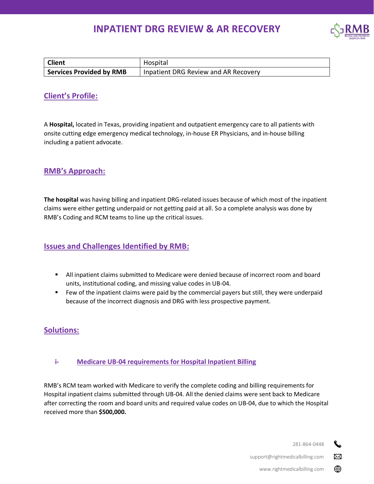# **INPATIENT DRG REVIEW & AR RECOVERY**



| <b>Client</b>                   | Hospital                             |
|---------------------------------|--------------------------------------|
| <b>Services Provided by RMB</b> | Inpatient DRG Review and AR Recovery |

# **Client's Profile:**

A **Hospital,** located in Texas, providing inpatient and outpatient emergency care to all patients with onsite cutting edge emergency medical technology, in-house ER Physicians, and in-house billing including a patient advocate.

# **RMB's Approach:**

**The hospital** was having billing and inpatient DRG-related issues because of which most of the inpatient claims were either getting underpaid or not getting paid at all. So a complete analysis was done by RMB's Coding and RCM teams to line up the critical issues.

# **Issues and Challenges Identified by RMB:**

- **EXECT All inpatient claims submitted to Medicare were denied because of incorrect room and board** units, institutional coding, and missing value codes in UB-04.
- Few of the inpatient claims were paid by the commercial payers but still, they were underpaid because of the incorrect diagnosis and DRG with less prospective payment.

# **Solutions:**

## **i- Medicare UB-04 requirements for Hospital Inpatient Billing**

RMB's RCM team worked with Medicare to verify the complete coding and billing requirements for Hospital inpatient claims submitted through UB-04. All the denied claims were sent back to Medicare after correcting the room and board units and required value codes on UB-04, due to which the Hospital received more than **\$500,000.**

> 281-864-0448 r.

> > $\boxtimes$

⊕

support@rightmedicalbilling.com